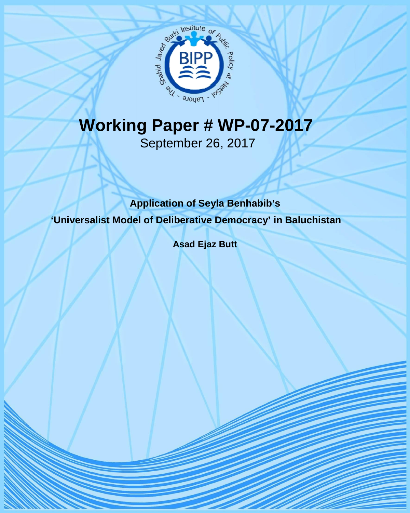

# **Working Paper # WP-07-2017**

September 26, 2017

### **Application of Seyla Benhabib's**

**'Universalist Model of Deliberative Democracy' in Baluchistan**

**Asad Ejaz Butt** 

Working Paper-07-2017 1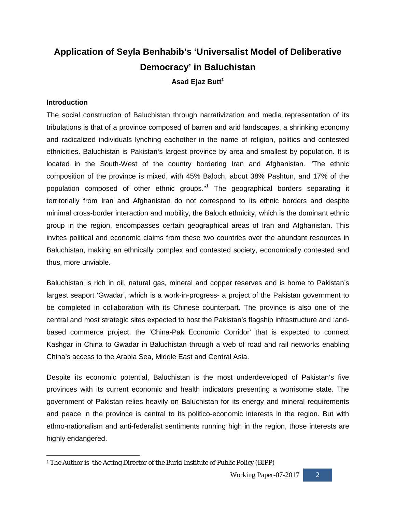## **Application of Seyla Benhabib's 'Universalist Model of Deliberative Democracy' in Baluchistan Asad Ejaz Butt<sup>1</sup>**

#### **Introduction**

The social construction of Baluchistan through narrativization and media representation of its tribulations is that of a province composed of barren and arid landscapes, a shrinking economy and radicalized individuals lynching eachother in the name of religion, politics and contested ethnicities. Baluchistan is Pakistan's largest province by area and smallest by population. It is located in the South-West of the country bordering Iran and Afghanistan. "The ethnic composition of the province is mixed, with 45% Baloch, about 38% Pashtun, and 17% of the population composed of other ethnic groups."**<sup>1</sup>** The geographical borders separating it territorially from Iran and Afghanistan do not correspond to its ethnic borders and despite minimal cross-border interaction and mobility, the Baloch ethnicity, which is the dominant ethnic group in the region, encompasses certain geographical areas of Iran and Afghanistan. This invites political and economic claims from these two countries over the abundant resources in Baluchistan, making an ethnically complex and contested society, economically contested and thus, more unviable.

Baluchistan is rich in oil, natural gas, mineral and copper reserves and is home to Pakistan's largest seaport 'Gwadar', which is a work-in-progress- a project of the Pakistan government to be completed in collaboration with its Chinese counterpart. The province is also one of the central and most strategic sites expected to host the Pakistan's flagship infrastructure and ;andbased commerce project, the 'China-Pak Economic Corridor' that is expected to connect Kashgar in China to Gwadar in Baluchistan through a web of road and rail networks enabling China's access to the Arabia Sea, Middle East and Central Asia.

Despite its economic potential, Baluchistan is the most underdeveloped of Pakistan's five provinces with its current economic and health indicators presenting a worrisome state. The government of Pakistan relies heavily on Baluchistan for its energy and mineral requirements and peace in the province is central to its politico-economic interests in the region. But with ethno-nationalism and anti-federalist sentiments running high in the region, those interests are highly endangered.

 $\ddot{\phantom{a}}$ <sup>1</sup> The Author is the Acting Director of the Burki Institute of Public Policy (BIPP)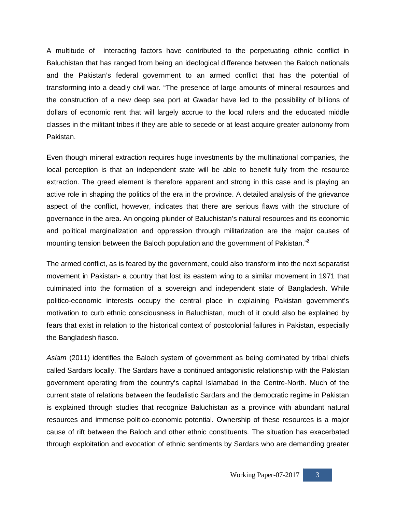A multitude of interacting factors have contributed to the perpetuating ethnic conflict in Baluchistan that has ranged from being an ideological difference between the Baloch nationals and the Pakistan's federal government to an armed conflict that has the potential of transforming into a deadly civil war. "The presence of large amounts of mineral resources and the construction of a new deep sea port at Gwadar have led to the possibility of billions of dollars of economic rent that will largely accrue to the local rulers and the educated middle classes in the militant tribes if they are able to secede or at least acquire greater autonomy from Pakistan.

Even though mineral extraction requires huge investments by the multinational companies, the local perception is that an independent state will be able to benefit fully from the resource extraction. The greed element is therefore apparent and strong in this case and is playing an active role in shaping the politics of the era in the province. A detailed analysis of the grievance aspect of the conflict, however, indicates that there are serious flaws with the structure of governance in the area. An ongoing plunder of Baluchistan's natural resources and its economic and political marginalization and oppression through militarization are the major causes of mounting tension between the Baloch population and the government of Pakistan."**<sup>2</sup>**

The armed conflict, as is feared by the government, could also transform into the next separatist movement in Pakistan- a country that lost its eastern wing to a similar movement in 1971 that culminated into the formation of a sovereign and independent state of Bangladesh. While politico-economic interests occupy the central place in explaining Pakistan government's motivation to curb ethnic consciousness in Baluchistan, much of it could also be explained by fears that exist in relation to the historical context of postcolonial failures in Pakistan, especially the Bangladesh fiasco.

*Aslam* (2011) identifies the Baloch system of government as being dominated by tribal chiefs called Sardars locally. The Sardars have a continued antagonistic relationship with the Pakistan government operating from the country's capital Islamabad in the Centre-North. Much of the current state of relations between the feudalistic Sardars and the democratic regime in Pakistan is explained through studies that recognize Baluchistan as a province with abundant natural resources and immense politico-economic potential. Ownership of these resources is a major cause of rift between the Baloch and other ethnic constituents. The situation has exacerbated through exploitation and evocation of ethnic sentiments by Sardars who are demanding greater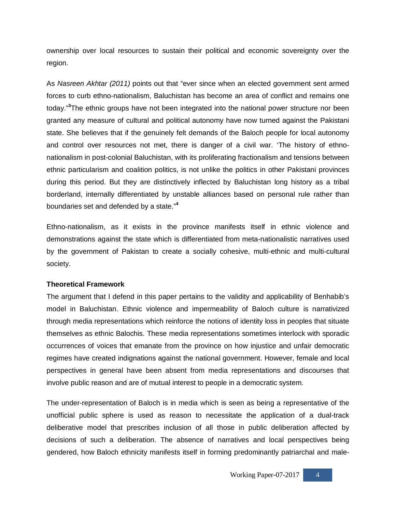ownership over local resources to sustain their political and economic sovereignty over the region.

As *Nasreen Akhtar (2011)* points out that "ever since when an elected government sent armed forces to curb ethno-nationalism, Baluchistan has become an area of conflict and remains one today."**<sup>3</sup>**The ethnic groups have not been integrated into the national power structure nor been granted any measure of cultural and political autonomy have now turned against the Pakistani state. She believes that if the genuinely felt demands of the Baloch people for local autonomy and control over resources not met, there is danger of a civil war. 'The history of ethnonationalism in post-colonial Baluchistan, with its proliferating fractionalism and tensions between ethnic particularism and coalition politics, is not unlike the politics in other Pakistani provinces during this period. But they are distinctively inflected by Baluchistan long history as a tribal borderland, internally differentiated by unstable alliances based on personal rule rather than boundaries set and defended by a state."**<sup>4</sup>**

Ethno-nationalism, as it exists in the province manifests itself in ethnic violence and demonstrations against the state which is differentiated from meta-nationalistic narratives used by the government of Pakistan to create a socially cohesive, multi-ethnic and multi-cultural society.

#### **Theoretical Framework**

The argument that I defend in this paper pertains to the validity and applicability of Benhabib's model in Baluchistan. Ethnic violence and impermeability of Baloch culture is narrativized through media representations which reinforce the notions of identity loss in peoples that situate themselves as ethnic Balochis. These media representations sometimes interlock with sporadic occurrences of voices that emanate from the province on how injustice and unfair democratic regimes have created indignations against the national government. However, female and local perspectives in general have been absent from media representations and discourses that involve public reason and are of mutual interest to people in a democratic system.

The under-representation of Baloch is in media which is seen as being a representative of the unofficial public sphere is used as reason to necessitate the application of a dual-track deliberative model that prescribes inclusion of all those in public deliberation affected by decisions of such a deliberation. The absence of narratives and local perspectives being gendered, how Baloch ethnicity manifests itself in forming predominantly patriarchal and male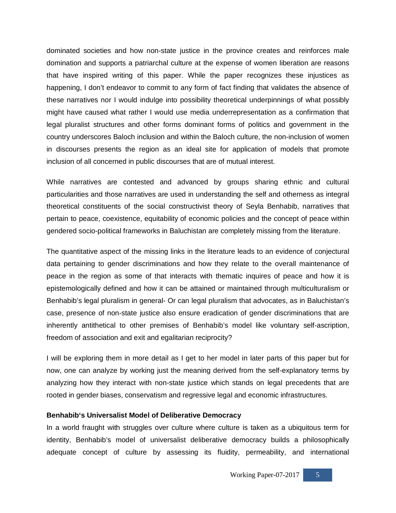dominated societies and how non-state justice in the province creates and reinforces male domination and supports a patriarchal culture at the expense of women liberation are reasons that have inspired writing of this paper. While the paper recognizes these injustices as happening, I don't endeavor to commit to any form of fact finding that validates the absence of these narratives nor I would indulge into possibility theoretical underpinnings of what possibly might have caused what rather I would use media underrepresentation as a confirmation that legal pluralist structures and other forms dominant forms of politics and government in the country underscores Baloch inclusion and within the Baloch culture, the non-inclusion of women in discourses presents the region as an ideal site for application of models that promote inclusion of all concerned in public discourses that are of mutual interest.

While narratives are contested and advanced by groups sharing ethnic and cultural particularities and those narratives are used in understanding the self and otherness as integral theoretical constituents of the social constructivist theory of Seyla Benhabib, narratives that pertain to peace, coexistence, equitability of economic policies and the concept of peace within gendered socio-political frameworks in Baluchistan are completely missing from the literature.

The quantitative aspect of the missing links in the literature leads to an evidence of conjectural data pertaining to gender discriminations and how they relate to the overall maintenance of peace in the region as some of that interacts with thematic inquires of peace and how it is epistemologically defined and how it can be attained or maintained through multiculturalism or Benhabib's legal pluralism in general- Or can legal pluralism that advocates, as in Baluchistan's case, presence of non-state justice also ensure eradication of gender discriminations that are inherently antithetical to other premises of Benhabib's model like voluntary self-ascription, freedom of association and exit and egalitarian reciprocity?

I will be exploring them in more detail as I get to her model in later parts of this paper but for now, one can analyze by working just the meaning derived from the self-explanatory terms by analyzing how they interact with non-state justice which stands on legal precedents that are rooted in gender biases, conservatism and regressive legal and economic infrastructures.

#### **Benhabib's Universalist Model of Deliberative Democracy**

In a world fraught with struggles over culture where culture is taken as a ubiquitous term for identity, Benhabib's model of universalist deliberative democracy builds a philosophically adequate concept of culture by assessing its fluidity, permeability, and international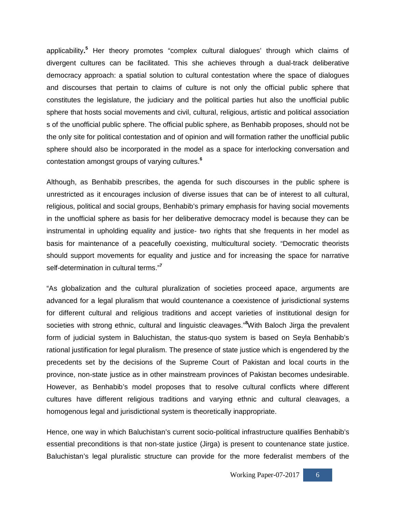applicability**. <sup>5</sup>** Her theory promotes "complex cultural dialogues' through which claims of divergent cultures can be facilitated. This she achieves through a dual-track deliberative democracy approach: a spatial solution to cultural contestation where the space of dialogues and discourses that pertain to claims of culture is not only the official public sphere that constitutes the legislature, the judiciary and the political parties hut also the unofficial public sphere that hosts social movements and civil, cultural, religious, artistic and political association s of the unofficial public sphere. The official public sphere, as Benhabib proposes, should not be the only site for political contestation and of opinion and will formation rather the unofficial public sphere should also be incorporated in the model as a space for interlocking conversation and contestation amongst groups of varying cultures.**<sup>6</sup>**

Although, as Benhabib prescribes, the agenda for such discourses in the public sphere is unrestricted as it encourages inclusion of diverse issues that can be of interest to all cultural, religious, political and social groups, Benhabib's primary emphasis for having social movements in the unofficial sphere as basis for her deliberative democracy model is because they can be instrumental in upholding equality and justice- two rights that she frequents in her model as basis for maintenance of a peacefully coexisting, multicultural society. "Democratic theorists should support movements for equality and justice and for increasing the space for narrative self-determination in cultural terms."**<sup>7</sup>**

"As globalization and the cultural pluralization of societies proceed apace, arguments are advanced for a legal pluralism that would countenance a coexistence of jurisdictional systems for different cultural and religious traditions and accept varieties of institutional design for societies with strong ethnic, cultural and linguistic cleavages."**<sup>8</sup>**With Baloch Jirga the prevalent form of judicial system in Baluchistan, the status-quo system is based on Seyla Benhabib's rational justification for legal pluralism. The presence of state justice which is engendered by the precedents set by the decisions of the Supreme Court of Pakistan and local courts in the province, non-state justice as in other mainstream provinces of Pakistan becomes undesirable. However, as Benhabib's model proposes that to resolve cultural conflicts where different cultures have different religious traditions and varying ethnic and cultural cleavages, a homogenous legal and jurisdictional system is theoretically inappropriate.

Hence, one way in which Baluchistan's current socio-political infrastructure qualifies Benhabib's essential preconditions is that non-state justice (Jirga) is present to countenance state justice. Baluchistan's legal pluralistic structure can provide for the more federalist members of the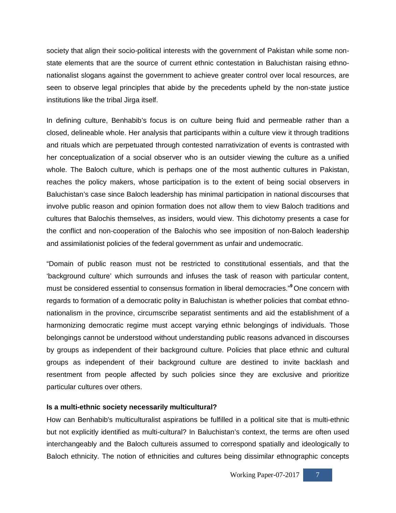society that align their socio-political interests with the government of Pakistan while some nonstate elements that are the source of current ethnic contestation in Baluchistan raising ethnonationalist slogans against the government to achieve greater control over local resources, are seen to observe legal principles that abide by the precedents upheld by the non-state justice institutions like the tribal Jirga itself.

In defining culture, Benhabib's focus is on culture being fluid and permeable rather than a closed, delineable whole. Her analysis that participants within a culture view it through traditions and rituals which are perpetuated through contested narrativization of events is contrasted with her conceptualization of a social observer who is an outsider viewing the culture as a unified whole. The Baloch culture, which is perhaps one of the most authentic cultures in Pakistan, reaches the policy makers, whose participation is to the extent of being social observers in Baluchistan's case since Baloch leadership has minimal participation in national discourses that involve public reason and opinion formation does not allow them to view Baloch traditions and cultures that Balochis themselves, as insiders, would view. This dichotomy presents a case for the conflict and non-cooperation of the Balochis who see imposition of non-Baloch leadership and assimilationist policies of the federal government as unfair and undemocratic.

"Domain of public reason must not be restricted to constitutional essentials, and that the 'background culture' which surrounds and infuses the task of reason with particular content, must be considered essential to consensus formation in liberal democracies."**<sup>9</sup>** One concern with regards to formation of a democratic polity in Baluchistan is whether policies that combat ethnonationalism in the province, circumscribe separatist sentiments and aid the establishment of a harmonizing democratic regime must accept varying ethnic belongings of individuals. Those belongings cannot be understood without understanding public reasons advanced in discourses by groups as independent of their background culture. Policies that place ethnic and cultural groups as independent of their background culture are destined to invite backlash and resentment from people affected by such policies since they are exclusive and prioritize particular cultures over others.

#### **Is a multi-ethnic society necessarily multicultural?**

How can Benhabib's multiculturalist aspirations be fulfilled in a political site that is multi-ethnic but not explicitly identified as multi-cultural? In Baluchistan's context, the terms are often used interchangeably and the Baloch cultureis assumed to correspond spatially and ideologically to Baloch ethnicity. The notion of ethnicities and cultures being dissimilar ethnographic concepts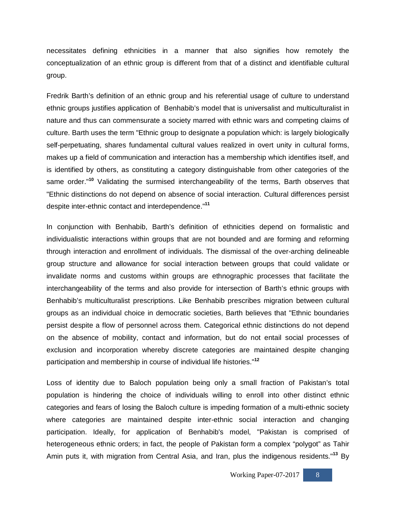necessitates defining ethnicities in a manner that also signifies how remotely the conceptualization of an ethnic group is different from that of a distinct and identifiable cultural group.

Fredrik Barth's definition of an ethnic group and his referential usage of culture to understand ethnic groups justifies application of Benhabib's model that is universalist and multiculturalist in nature and thus can commensurate a society marred with ethnic wars and competing claims of culture. Barth uses the term "Ethnic group to designate a population which: is largely biologically self-perpetuating, shares fundamental cultural values realized in overt unity in cultural forms, makes up a field of communication and interaction has a membership which identifies itself, and is identified by others, as constituting a category distinguishable from other categories of the same order."**<sup>10</sup>** Validating the surmised interchangeability of the terms, Barth observes that "Ethnic distinctions do not depend on absence of social interaction. Cultural differences persist despite inter-ethnic contact and interdependence."**<sup>11</sup>**

In conjunction with Benhabib, Barth's definition of ethnicities depend on formalistic and individualistic interactions within groups that are not bounded and are forming and reforming through interaction and enrollment of individuals. The dismissal of the over-arching delineable group structure and allowance for social interaction between groups that could validate or invalidate norms and customs within groups are ethnographic processes that facilitate the interchangeability of the terms and also provide for intersection of Barth's ethnic groups with Benhabib's multiculturalist prescriptions. Like Benhabib prescribes migration between cultural groups as an individual choice in democratic societies, Barth believes that "Ethnic boundaries persist despite a flow of personnel across them. Categorical ethnic distinctions do not depend on the absence of mobility, contact and information, but do not entail social processes of exclusion and incorporation whereby discrete categories are maintained despite changing participation and membership in course of individual life histories."**<sup>12</sup>**

Loss of identity due to Baloch population being only a small fraction of Pakistan's total population is hindering the choice of individuals willing to enroll into other distinct ethnic categories and fears of losing the Baloch culture is impeding formation of a multi-ethnic society where categories are maintained despite inter-ethnic social interaction and changing participation. Ideally, for application of Benhabib's model, "Pakistan is comprised of heterogeneous ethnic orders; in fact, the people of Pakistan form a complex "polygot" as Tahir Amin puts it, with migration from Central Asia, and Iran, plus the indigenous residents."**<sup>13</sup>** By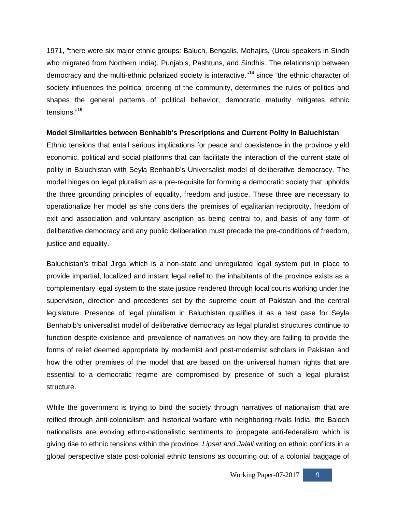1971, "there were six major ethnic groups: Baluch, Bengalis, Mohajirs, (Urdu speakers in Sindh who migrated from Northern India), Punjabis, Pashtuns, and Sindhis. The relationship between democracy and the multi-ethnic polarized society is interactive."**<sup>14</sup>** since "the ethnic character of society influences the political ordering of the community, determines the rules of politics and shapes the general patterns of political behavior; democratic maturity mitigates ethnic tensions."**<sup>15</sup>**

#### **Model Similarities between Benhabib's Prescriptions and Current Polity in Baluchistan**

Ethnic tensions that entail serious implications for peace and coexistence in the province yield economic, political and social platforms that can facilitate the interaction of the current state of polity in Baluchistan with Seyla Benhabib's Universalist model of deliberative democracy. The model hinges on legal pluralism as a pre-requisite for forming a democratic society that upholds the three grounding principles of equality, freedom and justice. These three are necessary to operationalize her model as she considers the premises of egalitarian reciprocity, freedom of exit and association and voluntary ascription as being central to, and basis of any form of deliberative democracy and any public deliberation must precede the pre-conditions of freedom, justice and equality.

Baluchistan's tribal Jirga which is a non-state and unregulated legal system put in place to provide impartial, localized and instant legal relief to the inhabitants of the province exists as a complementary legal system to the state justice rendered through local courts working under the supervision, direction and precedents set by the supreme court of Pakistan and the central legislature. Presence of legal pluralism in Baluchistan qualifies it as a test case for Seyla Benhabib's universalist model of deliberative democracy as legal pluralist structures continue to function despite existence and prevalence of narratives on how they are failing to provide the forms of relief deemed appropriate by modernist and post-modernist scholars in Pakistan and how the other premises of the model that are based on the universal human rights that are essential to a democratic regime are compromised by presence of such a legal pluralist structure.

While the government is trying to bind the society through narratives of nationalism that are reified through anti-colonialism and historical warfare with neighboring rivals India, the Baloch nationalists are evoking ethno-nationalistic sentiments to propagate anti-federalism which is giving rise to ethnic tensions within the province. *Lipset and Jalali* writing on ethnic conflicts in a global perspective state post-colonial ethnic tensions as occurring out of a colonial baggage of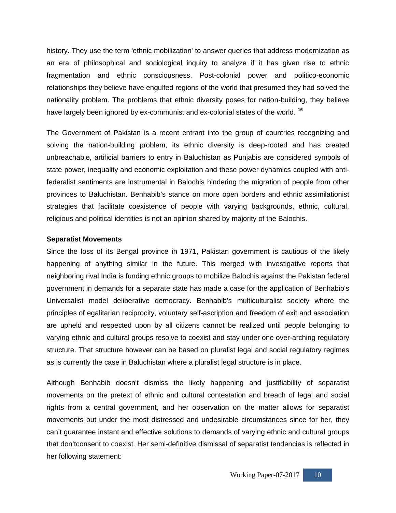history. They use the term 'ethnic mobilization' to answer queries that address modernization as an era of philosophical and sociological inquiry to analyze if it has given rise to ethnic fragmentation and ethnic consciousness. Post-colonial power and politico-economic relationships they believe have engulfed regions of the world that presumed they had solved the nationality problem. The problems that ethnic diversity poses for nation-building, they believe have largely been ignored by ex-communist and ex-colonial states of the world. **<sup>16</sup>**

The Government of Pakistan is a recent entrant into the group of countries recognizing and solving the nation-building problem, its ethnic diversity is deep-rooted and has created unbreachable, artificial barriers to entry in Baluchistan as Punjabis are considered symbols of state power, inequality and economic exploitation and these power dynamics coupled with antifederalist sentiments are instrumental in Balochis hindering the migration of people from other provinces to Baluchistan. Benhabib's stance on more open borders and ethnic assimilationist strategies that facilitate coexistence of people with varying backgrounds, ethnic, cultural, religious and political identities is not an opinion shared by majority of the Balochis.

#### **Separatist Movements**

Since the loss of its Bengal province in 1971, Pakistan government is cautious of the likely happening of anything similar in the future. This merged with investigative reports that neighboring rival India is funding ethnic groups to mobilize Balochis against the Pakistan federal government in demands for a separate state has made a case for the application of Benhabib's Universalist model deliberative democracy. Benhabib's multiculturalist society where the principles of egalitarian reciprocity, voluntary self-ascription and freedom of exit and association are upheld and respected upon by all citizens cannot be realized until people belonging to varying ethnic and cultural groups resolve to coexist and stay under one over-arching regulatory structure. That structure however can be based on pluralist legal and social regulatory regimes as is currently the case in Baluchistan where a pluralist legal structure is in place.

Although Benhabib doesn't dismiss the likely happening and justifiability of separatist movements on the pretext of ethnic and cultural contestation and breach of legal and social rights from a central government, and her observation on the matter allows for separatist movements but under the most distressed and undesirable circumstances since for her, they can't guarantee instant and effective solutions to demands of varying ethnic and cultural groups that don'tconsent to coexist. Her semi-definitive dismissal of separatist tendencies is reflected in her following statement: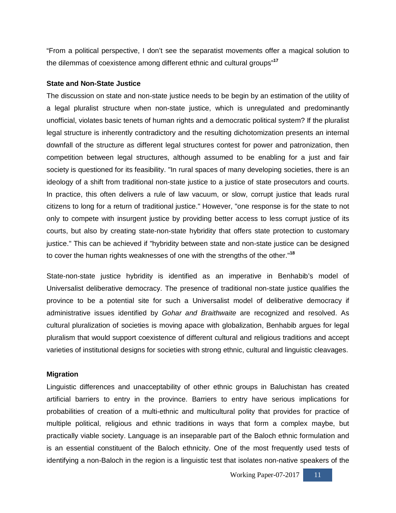"From a political perspective, I don't see the separatist movements offer a magical solution to the dilemmas of coexistence among different ethnic and cultural groups"**<sup>17</sup>**

#### **State and Non-State Justice**

The discussion on state and non-state justice needs to be begin by an estimation of the utility of a legal pluralist structure when non-state justice, which is unregulated and predominantly unofficial, violates basic tenets of human rights and a democratic political system? If the pluralist legal structure is inherently contradictory and the resulting dichotomization presents an internal downfall of the structure as different legal structures contest for power and patronization, then competition between legal structures, although assumed to be enabling for a just and fair society is questioned for its feasibility. "In rural spaces of many developing societies, there is an ideology of a shift from traditional non-state justice to a justice of state prosecutors and courts. In practice, this often delivers a rule of law vacuum, or slow, corrupt justice that leads rural citizens to long for a return of traditional justice." However, "one response is for the state to not only to compete with insurgent justice by providing better access to less corrupt justice of its courts, but also by creating state-non-state hybridity that offers state protection to customary justice." This can be achieved if "hybridity between state and non-state justice can be designed to cover the human rights weaknesses of one with the strengths of the other."**<sup>18</sup>**

State-non-state justice hybridity is identified as an imperative in Benhabib's model of Universalist deliberative democracy. The presence of traditional non-state justice qualifies the province to be a potential site for such a Universalist model of deliberative democracy if administrative issues identified by *Gohar and Braithwaite* are recognized and resolved. As cultural pluralization of societies is moving apace with globalization, Benhabib argues for legal pluralism that would support coexistence of different cultural and religious traditions and accept varieties of institutional designs for societies with strong ethnic, cultural and linguistic cleavages.

#### **Migration**

Linguistic differences and unacceptability of other ethnic groups in Baluchistan has created artificial barriers to entry in the province. Barriers to entry have serious implications for probabilities of creation of a multi-ethnic and multicultural polity that provides for practice of multiple political, religious and ethnic traditions in ways that form a complex maybe, but practically viable society. Language is an inseparable part of the Baloch ethnic formulation and is an essential constituent of the Baloch ethnicity. One of the most frequently used tests of identifying a non-Baloch in the region is a linguistic test that isolates non-native speakers of the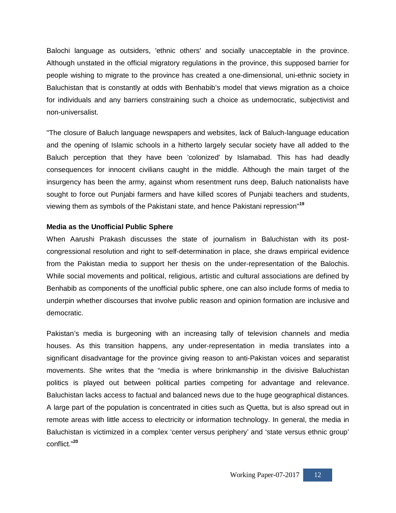Balochi language as outsiders, 'ethnic others' and socially unacceptable in the province. Although unstated in the official migratory regulations in the province, this supposed barrier for people wishing to migrate to the province has created a one-dimensional, uni-ethnic society in Baluchistan that is constantly at odds with Benhabib's model that views migration as a choice for individuals and any barriers constraining such a choice as undemocratic, subjectivist and non-universalist.

"The closure of Baluch language newspapers and websites, lack of Baluch-language education and the opening of Islamic schools in a hitherto largely secular society have all added to the Baluch perception that they have been 'colonized' by Islamabad. This has had deadly consequences for innocent civilians caught in the middle. Although the main target of the insurgency has been the army, against whom resentment runs deep, Baluch nationalists have sought to force out Punjabi farmers and have killed scores of Punjabi teachers and students, viewing them as symbols of the Pakistani state, and hence Pakistani repression"**<sup>19</sup>**

#### **Media as the Unofficial Public Sphere**

When Aarushi Prakash discusses the state of journalism in Baluchistan with its postcongressional resolution and right to self-determination in place, she draws empirical evidence from the Pakistan media to support her thesis on the under-representation of the Balochis. While social movements and political, religious, artistic and cultural associations are defined by Benhabib as components of the unofficial public sphere, one can also include forms of media to underpin whether discourses that involve public reason and opinion formation are inclusive and democratic.

Pakistan's media is burgeoning with an increasing tally of television channels and media houses. As this transition happens, any under-representation in media translates into a significant disadvantage for the province giving reason to anti-Pakistan voices and separatist movements. She writes that the "media is where brinkmanship in the divisive Baluchistan politics is played out between political parties competing for advantage and relevance. Baluchistan lacks access to factual and balanced news due to the huge geographical distances. A large part of the population is concentrated in cities such as Quetta, but is also spread out in remote areas with little access to electricity or information technology. In general, the media in Baluchistan is victimized in a complex 'center versus periphery' and 'state versus ethnic group' conflict."**<sup>20</sup>**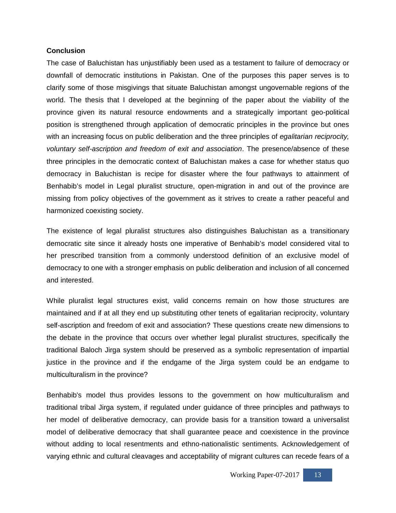#### **Conclusion**

The case of Baluchistan has unjustifiably been used as a testament to failure of democracy or downfall of democratic institutions in Pakistan. One of the purposes this paper serves is to clarify some of those misgivings that situate Baluchistan amongst ungovernable regions of the world. The thesis that I developed at the beginning of the paper about the viability of the province given its natural resource endowments and a strategically important geo-political position is strengthened through application of democratic principles in the province but ones with an increasing focus on public deliberation and the three principles of *egalitarian reciprocity, voluntary self-ascription and freedom of exit and association*. The presence/absence of these three principles in the democratic context of Baluchistan makes a case for whether status quo democracy in Baluchistan is recipe for disaster where the four pathways to attainment of Benhabib's model in Legal pluralist structure, open-migration in and out of the province are missing from policy objectives of the government as it strives to create a rather peaceful and harmonized coexisting society.

The existence of legal pluralist structures also distinguishes Baluchistan as a transitionary democratic site since it already hosts one imperative of Benhabib's model considered vital to her prescribed transition from a commonly understood definition of an exclusive model of democracy to one with a stronger emphasis on public deliberation and inclusion of all concerned and interested.

While pluralist legal structures exist, valid concerns remain on how those structures are maintained and if at all they end up substituting other tenets of egalitarian reciprocity, voluntary self-ascription and freedom of exit and association? These questions create new dimensions to the debate in the province that occurs over whether legal pluralist structures, specifically the traditional Baloch Jirga system should be preserved as a symbolic representation of impartial justice in the province and if the endgame of the Jirga system could be an endgame to multiculturalism in the province?

Benhabib's model thus provides lessons to the government on how multiculturalism and traditional tribal Jirga system, if regulated under guidance of three principles and pathways to her model of deliberative democracy, can provide basis for a transition toward a universalist model of deliberative democracy that shall guarantee peace and coexistence in the province without adding to local resentments and ethno-nationalistic sentiments. Acknowledgement of varying ethnic and cultural cleavages and acceptability of migrant cultures can recede fears of a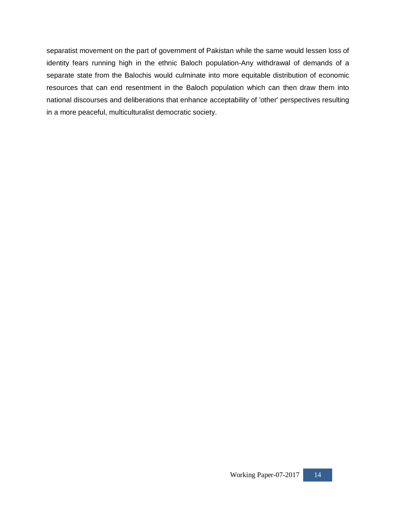separatist movement on the part of government of Pakistan while the same would lessen loss of identity fears running high in the ethnic Baloch population-Any withdrawal of demands of a separate state from the Balochis would culminate into more equitable distribution of economic resources that can end resentment in the Baloch population which can then draw them into national discourses and deliberations that enhance acceptability of 'other' perspectives resulting in a more peaceful, multiculturalist democratic society.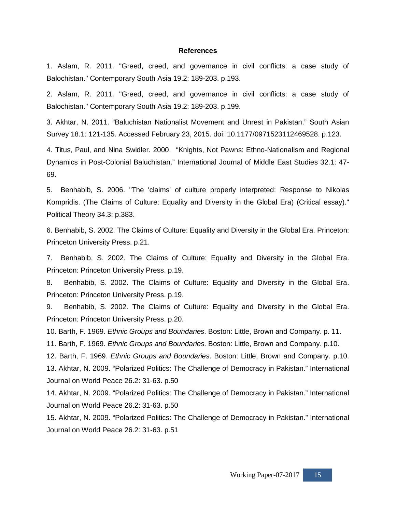#### **References**

1. Aslam, R. 2011. "Greed, creed, and governance in civil conflicts: a case study of Balochistan." Contemporary South Asia 19.2: 189-203. p.193.

2. Aslam, R. 2011. "Greed, creed, and governance in civil conflicts: a case study of Balochistan." Contemporary South Asia 19.2: 189-203. p.199.

3. Akhtar, N. 2011. "Baluchistan Nationalist Movement and Unrest in Pakistan." South Asian Survey 18.1: 121-135. Accessed February 23, 2015. doi: 10.1177/0971523112469528. p.123.

4. Titus, Paul, and Nina Swidler. 2000. "Knights, Not Pawns: Ethno-Nationalism and Regional Dynamics in Post-Colonial Baluchistan." International Journal of Middle East Studies 32.1: 47- 69.

5. Benhabib, S. 2006. "The 'claims' of culture properly interpreted: Response to Nikolas Kompridis. (The Claims of Culture: Equality and Diversity in the Global Era) (Critical essay)." Political Theory 34.3: p.383.

6. Benhabib, S. 2002. The Claims of Culture: Equality and Diversity in the Global Era. Princeton: Princeton University Press. p.21.

7. Benhabib, S. 2002. The Claims of Culture: Equality and Diversity in the Global Era. Princeton: Princeton University Press. p.19.

8. Benhabib, S. 2002. The Claims of Culture: Equality and Diversity in the Global Era. Princeton: Princeton University Press. p.19.

9. Benhabib, S. 2002. The Claims of Culture: Equality and Diversity in the Global Era. Princeton: Princeton University Press. p.20.

10. Barth, F. 1969. *Ethnic Groups and Boundaries*. Boston: Little, Brown and Company. p. 11.

11. Barth, F. 1969. *Ethnic Groups and Boundaries*. Boston: Little, Brown and Company. p.10.

12. Barth, F. 1969. *Ethnic Groups and Boundaries*. Boston: Little, Brown and Company. p.10.

13. Akhtar, N. 2009. "Polarized Politics: The Challenge of Democracy in Pakistan." International Journal on World Peace 26.2: 31-63. p.50

14. Akhtar, N. 2009. "Polarized Politics: The Challenge of Democracy in Pakistan." International Journal on World Peace 26.2: 31-63. p.50

15. Akhtar, N. 2009. "Polarized Politics: The Challenge of Democracy in Pakistan." International Journal on World Peace 26.2: 31-63. p.51